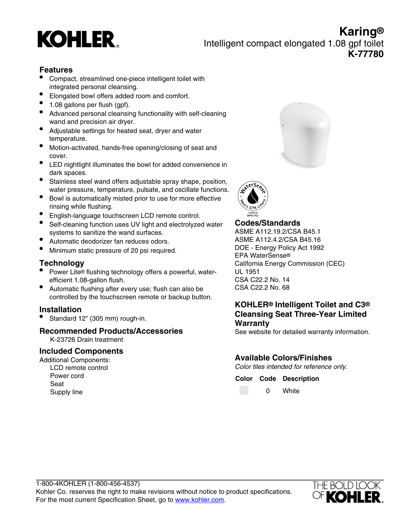# **KOHLER**

**Karing®** Intelligent compact elongated 1.08 gpf toilet **K-77780**

#### **Features**

- Compact, streamlined one-piece intelligent toilet with integrated personal cleansing.
- Elongated bowl offers added room and comfort.
- 1.08 gallons per flush (gpf).
- Advanced personal cleansing functionality with self-cleaning wand and precision air dryer.
- Adjustable settings for heated seat, dryer and water temperature.
- Motion-activated, hands-free opening/closing of seat and cover.
- LED nightlight illuminates the bowl for added convenience in dark spaces.
- Stainless steel wand offers adjustable spray shape, position, water pressure, temperature, pulsate, and oscillate functions.
- Bowl is automatically misted prior to use for more effective rinsing while flushing.
- English-language touchscreen LCD remote control.
- Self-cleaning function uses UV light and electrolyzed water systems to sanitize the wand surfaces.
- Automatic deodorizer fan reduces odors.
- Minimum static pressure of 20 psi required.

#### **Technology**

- Power Lite® flushing technology offers a powerful, waterefficient 1.08-gallon flush.
- Automatic flushing after every use; flush can also be controlled by the touchscreen remote or backup button.

#### **Installation**

• Standard 12" (305 mm) rough-in.

## **Recommended Products/Accessories**

K-23726 Drain treatment

#### **Included Components**

Additional Components: LCD remote control Power cord Seat Supply line





**Codes/Standards** ASME A112.19.2/CSA B45.1 ASME A112.4.2/CSA B45.16 DOE - Energy Policy Act 1992 EPA WaterSense® California Energy Commission (CEC) UL 1951 CSA C22.2 No. 14 CSA C22.2 No. 68

## **KOHLER® Intelligent Toilet and C3® Cleansing Seat Three-Year Limited Warranty**

See website for detailed warranty information.

## **Available Colors/Finishes**

Color tiles intended for reference only.

**Color Code Description**

0 White